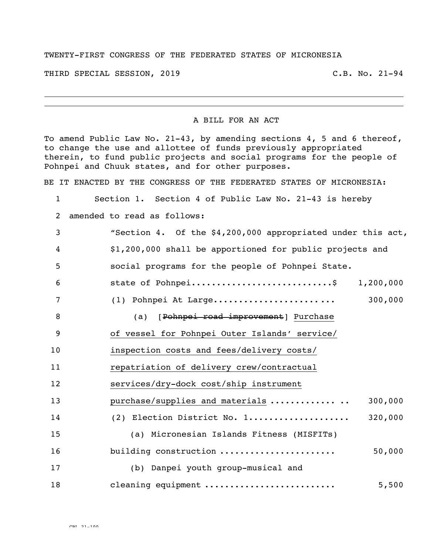## TWENTY-FIRST CONGRESS OF THE FEDERATED STATES OF MICRONESIA

THIRD SPECIAL SESSION, 2019 C.B. No. 21-94

## A BILL FOR AN ACT

To amend Public Law No. 21-43, by amending sections 4, 5 and 6 thereof, to change the use and allottee of funds previously appropriated therein, to fund public projects and social programs for the people of Pohnpei and Chuuk states, and for other purposes.

BE IT ENACTED BY THE CONGRESS OF THE FEDERATED STATES OF MICRONESIA:

1 Section 1. Section 4 of Public Law No. 21-43 is hereby

2 amended to read as follows:

 "Section 4. Of the \$4,200,000 appropriated under this act, \$1,200,000 shall be apportioned for public projects and social programs for the people of Pohnpei State. state of Pohnpei............................\$ 1,200,000 (1) Pohnpei At Large..................... ... 300,000 8 (a) [Pohnpei road improvement] Purchase of vessel for Pohnpei Outer Islands' service/ inspection costs and fees/delivery costs/ repatriation of delivery crew/contractual services/dry-dock cost/ship instrument 13 purchase/supplies and materials ................ 300,000 (2) Election District No. 1.................... 320,000 (a) Micronesian Islands Fitness (MISFITs) **building construction ........................** 50,000 (b) Danpei youth group-musical and cleaning equipment .......................... 5,500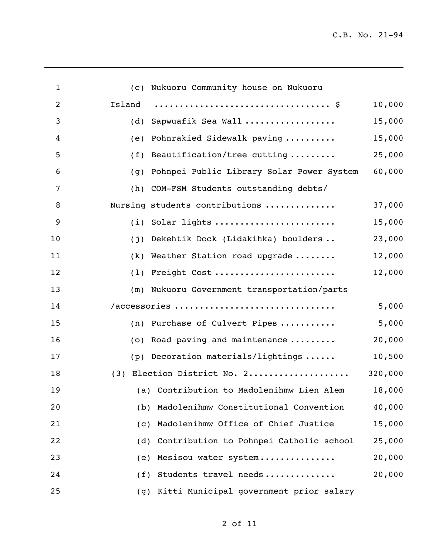| $\mathbf{1}$   | (c) Nukuoru Community house on Nukuoru           |         |
|----------------|--------------------------------------------------|---------|
| $\overline{2}$ | Island                                           | 10,000  |
| 3              | Sapwuafik Sea Wall<br>(d)                        | 15,000  |
| 4              | (e) Pohnrakied Sidewalk paving                   | 15,000  |
| 5              | Beautification/tree cutting<br>(f)               | 25,000  |
| 6              | Pohnpei Public Library Solar Power System<br>(g) | 60,000  |
| 7              | (h) COM-FSM Students outstanding debts/          |         |
| 8              | Nursing students contributions                   | 37,000  |
| 9              | (i) Solar lights                                 | 15,000  |
| 10             | (j) Dekehtik Dock (Lidakihka) boulders           | 23,000  |
| 11             | (k) Weather Station road upgrade                 | 12,000  |
| 12             | (1) Freight Cost                                 | 12,000  |
| 13             | (m) Nukuoru Government transportation/parts      |         |
| 14             | /accessories                                     | 5,000   |
| 15             | (n) Purchase of Culvert Pipes                    | 5,000   |
| 16             | (o) Road paving and maintenance                  | 20,000  |
| 17             | $(p)$ Decoration materials/lightings             | 10,500  |
| 18             | (3) Election District No. 2                      | 320,000 |
| 19             | (a) Contribution to Madolenihmw Lien Alem        | 18,000  |
| 20             | Madolenihmw Constitutional Convention<br>(b)     | 40,000  |
| 21             | Madolenihmw Office of Chief Justice<br>(c)       | 15,000  |
| 22             | Contribution to Pohnpei Catholic school<br>(d)   | 25,000  |
| 23             | Mesisou water system<br>(e)                      | 20,000  |
| 24             | Students travel needs<br>(f)                     | 20,000  |
| 25             | Kitti Municipal government prior salary<br>(g)   |         |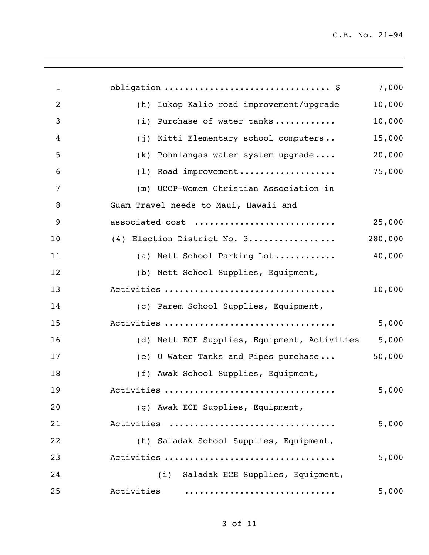| $\mathbf{1}$   | obligation  \$                               | 7,000   |
|----------------|----------------------------------------------|---------|
| $\overline{2}$ | (h) Lukop Kalio road improvement/upgrade     | 10,000  |
| 3              | Purchase of water tanks<br>(i)               | 10,000  |
| 4              | Kitti Elementary school computers<br>(j)     | 15,000  |
| 5              | Pohnlangas water system upgrade<br>(k)       | 20,000  |
| 6              | Road improvement<br>(1)                      | 75,000  |
| 7              | (m) UCCP-Women Christian Association in      |         |
| 8              | Guam Travel needs to Maui, Hawaii and        |         |
| 9              | associated cost                              | 25,000  |
| 10             | (4) Election District No. 3                  | 280,000 |
| 11             | (a) Nett School Parking Lot                  | 40,000  |
| 12             | (b) Nett School Supplies, Equipment,         |         |
| 13             | Activities                                   | 10,000  |
| 14             | (c) Parem School Supplies, Equipment,        |         |
| 15             | Activities                                   | 5,000   |
| 16             | (d) Nett ECE Supplies, Equipment, Activities | 5,000   |
| 17             | (e) U Water Tanks and Pipes purchase         | 50,000  |
| 18             | (f) Awak School Supplies, Equipment,         |         |
| 19             | Activities                                   | 5,000   |
| 20             | (g) Awak ECE Supplies, Equipment,            |         |
| 21             | Activities                                   | 5,000   |
| 22             | (h) Saladak School Supplies, Equipment,      |         |
| 23             | Activities                                   | 5,000   |
| 24             | (i) Saladak ECE Supplies, Equipment,         |         |
| 25             | Activities                                   | 5,000   |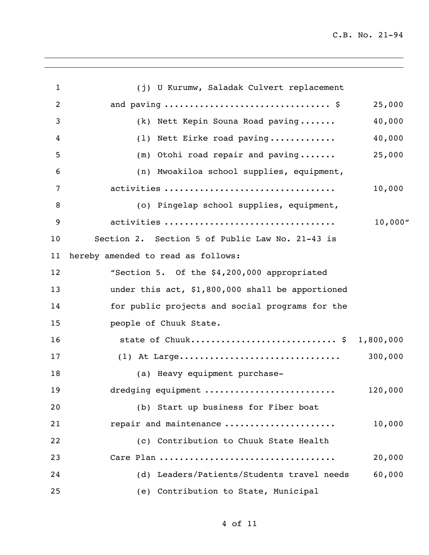| 1  | (j) U Kurumw, Saladak Culvert replacement        |          |
|----|--------------------------------------------------|----------|
| 2  |                                                  | 25,000   |
| 3  | (k) Nett Kepin Souna Road paving                 | 40,000   |
| 4  | (1) Nett Eirke road paving                       | 40,000   |
| 5  | $(m)$ Otohi road repair and paving               | 25,000   |
| 6  | (n) Mwoakiloa school supplies, equipment,        |          |
| 7  | activities                                       | 10,000   |
| 8  | (o) Pingelap school supplies, equipment,         |          |
| 9  | activities                                       | 10,000'' |
| 10 | Section 2. Section 5 of Public Law No. 21-43 is  |          |
| 11 | hereby amended to read as follows:               |          |
| 12 | "Section 5. Of the \$4,200,000 appropriated      |          |
| 13 | under this act, \$1,800,000 shall be apportioned |          |
| 14 | for public projects and social programs for the  |          |
| 15 | people of Chuuk State.                           |          |
| 16 | state of Chuuk \$ 1,800,000                      |          |
| 17 |                                                  | 300,000  |
| 18 | (a) Heavy equipment purchase-                    |          |
| 19 | dredging equipment                               | 120,000  |
| 20 | (b) Start up business for Fiber boat             |          |
| 21 | repair and maintenance                           | 10,000   |
| 22 | (c) Contribution to Chuuk State Health           |          |
| 23 | Care Plan                                        | 20,000   |
| 24 | (d) Leaders/Patients/Students travel needs       | 60,000   |
| 25 | (e) Contribution to State, Municipal             |          |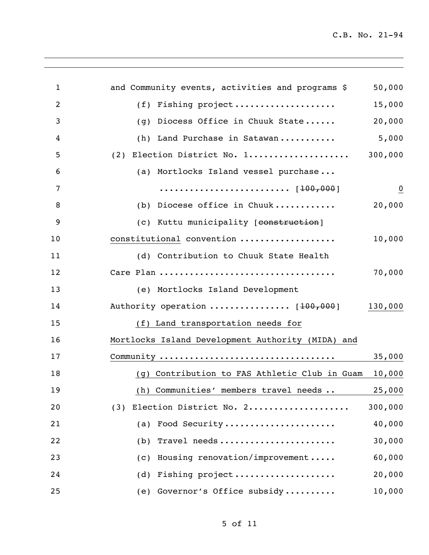| $\mathbf{1}$   | and Community events, activities and programs \$                                 | 50,000         |
|----------------|----------------------------------------------------------------------------------|----------------|
| $\overline{2}$ | (f) Fishing project                                                              | 15,000         |
| 3              | Diocess Office in Chuuk State<br>(g)                                             | 20,000         |
| 4              | Land Purchase in Satawan<br>(h)                                                  | 5,000          |
| 5              | (2) Election District No. 1                                                      | 300,000        |
| 6              | (a) Mortlocks Island vessel purchase                                             |                |
| 7              | $\cdots \cdots \cdots \cdots \cdots \cdots \cdots \cdots \cdots \cdot [100,000]$ | $\overline{0}$ |
| 8              | (b) Diocese office in Chuuk                                                      | 20,000         |
| 9              | (c) Kuttu municipality [construction]                                            |                |
| 10             | constitutional convention                                                        | 10,000         |
| 11             | (d) Contribution to Chuuk State Health                                           |                |
| 12             |                                                                                  | 70,000         |
| 13             | (e) Mortlocks Island Development                                                 |                |
| 14             | Authority operation  [100,000]                                                   | 130,000        |
| 15             | (f) Land transportation needs for                                                |                |
| 16             | Mortlocks Island Development Authority (MIDA) and                                |                |
| 17             |                                                                                  | 35,000         |
| 18             | (g) Contribution to FAS Athletic Club in Guam                                    | 10,000         |
| 19             | (h) Communities' members travel needs                                            | 25,000         |
| 20             | Election District No. 2<br>(3)                                                   | 300,000        |
| 21             | (a) Food Security                                                                | 40,000         |
| 22             | Travel needs<br>(b)                                                              | 30,000         |
| 23             | Housing renovation/improvement<br>(c)                                            | 60,000         |
| 24             | (d) Fishing project                                                              | 20,000         |
| 25             | (e) Governor's Office subsidy                                                    | 10,000         |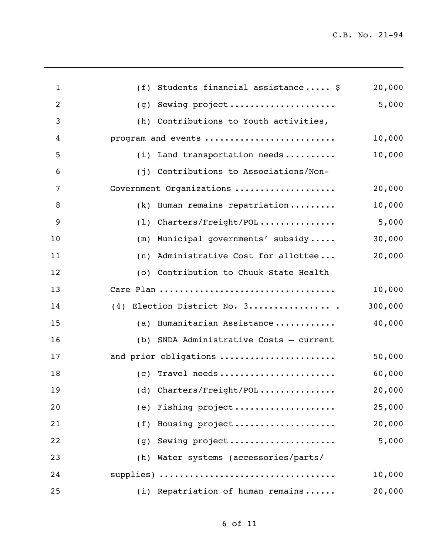| $\mathbf 1$    | Students financial assistance \$<br>(f)    | 20,000  |
|----------------|--------------------------------------------|---------|
| $\overline{2}$ | Sewing project<br>(g)                      | 5,000   |
| 3              | Contributions to Youth activities,<br>(h)  |         |
| 4              | program and events                         | 10,000  |
| 5              | $(i)$ Land transportation needs            | 10,000  |
| 6              | Contributions to Associations/Non-<br>(i)  |         |
| 7              | Government Organizations                   | 20,000  |
| 8              | Human remains repatriation<br>(k)          | 10,000  |
| 9              | Charters/Freight/POL<br>(1)                | 5,000   |
| 10             | Municipal governments' subsidy<br>(m)      | 30,000  |
| 11             | Administrative Cost for allottee<br>(n)    | 20,000  |
| 12             | (o) Contribution to Chuuk State Health     |         |
| 13             | Care Plan                                  | 10,000  |
| 14             | Election District No. 3<br>(4)             | 300,000 |
| 15             | Humanitarian Assistance<br>(a)             | 40,000  |
| 16             | SNDA Administrative Costs - current<br>(b) |         |
| 17             | and prior obligations                      | 50,000  |
| 18             | $(c)$ Travel needs                         | 60,000  |
| 19             | (d) $Charles/Freight/POL$                  | 20,000  |
| 20             | (e) Fishing project                        | 25,000  |
| 21             | (f) Housing project                        | 20,000  |
| 22             | (g) Sewing project                         | 5,000   |
| 23             | (h) Water systems (accessories/parts/      |         |
| 24             | supplies)                                  | 10,000  |
| 25             | (i) Repatriation of human remains          | 20,000  |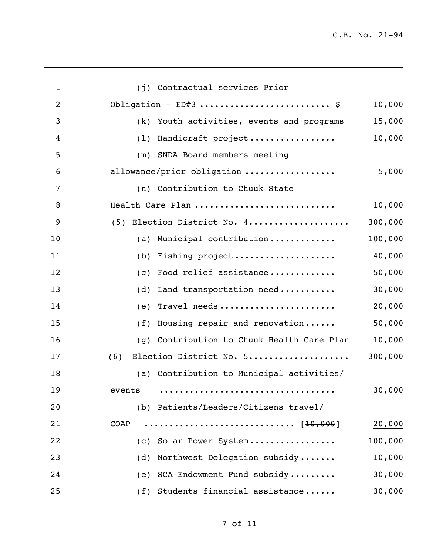| $\mathbf{1}$   | (j) Contractual services Prior             |         |
|----------------|--------------------------------------------|---------|
| $\overline{2}$ | Obligation - ED#3  \$                      | 10,000  |
| 3              | (k) Youth activities, events and programs  | 15,000  |
| 4              | (1) Handicraft project                     | 10,000  |
| 5              | (m) SNDA Board members meeting             |         |
| 6              | allowance/prior obligation                 | 5,000   |
| 7              | (n) Contribution to Chuuk State            |         |
| 8              | Health Care Plan                           | 10,000  |
| 9              | (5) Election District No. 4                | 300,000 |
| 10             | (a) Municipal contribution                 | 100,000 |
| 11             | (b) Fishing project                        | 40,000  |
| 12             | (c) Food relief assistance                 | 50,000  |
| 13             | (d) Land transportation need               | 30,000  |
| 14             | (e) Travel needs                           | 20,000  |
| 15             | Housing repair and renovation<br>(f)       | 50,000  |
| 16             | (g) Contribution to Chuuk Health Care Plan | 10,000  |
| 17             | Election District No. 5<br>(6)             | 300,000 |
| 18             | (a) Contribution to Municipal activities/  |         |
| 19             | events                                     | 30,000  |
| 20             | (b) Patients/Leaders/Citizens travel/      |         |
| 21             | [ <del>10,000</del> ]<br>COAP              | 20,000  |
| 22             | Solar Power System<br>(C)                  | 100,000 |
| 23             | Northwest Delegation subsidy<br>(d)        | 10,000  |
| 24             | SCA Endowment Fund subsidy<br>(e)          | 30,000  |
| 25             | (f) Students financial assistance          | 30,000  |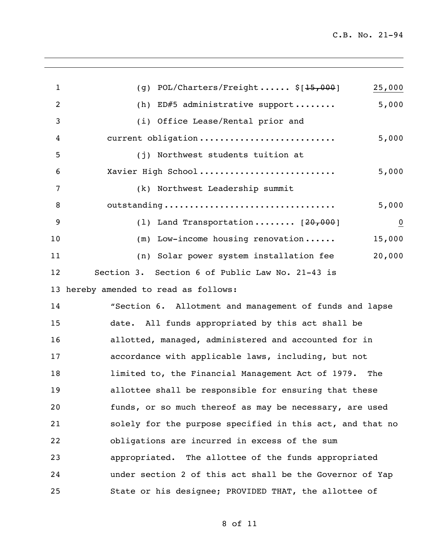| $\mathbf{1}$ | $POL/Charles/Freight$ \$[15,000]<br>25,000<br>(g)         |
|--------------|-----------------------------------------------------------|
| 2            | 5,000<br>ED#5 administrative support<br>(h)               |
| 3            | (i) Office Lease/Rental prior and                         |
| 4            | current obligation<br>5,000                               |
| 5            | (j) Northwest students tuition at                         |
| 6            | Xavier High School<br>5,000                               |
| 7            | (k) Northwest Leadership summit                           |
| 8            | outstanding<br>5,000                                      |
| 9            | (1) Land Transportation $[20,000]$<br>$\overline{0}$      |
| 10           | 15,000<br>Low-income housing renovation<br>(m)            |
| 11           | 20,000<br>(n) Solar power system installation fee         |
| 12           | Section 3. Section 6 of Public Law No. 21-43 is           |
| 13           | hereby amended to read as follows:                        |
| 14           | "Section 6. Allotment and management of funds and lapse   |
| 15           | date. All funds appropriated by this act shall be         |
| 16           | allotted, managed, administered and accounted for in      |
| 17           | accordance with applicable laws, including, but not       |
| 18           | limited to, the Financial Management Act of 1979.<br>The  |
| 19           | allottee shall be responsible for ensuring that these     |
| 20           | funds, or so much thereof as may be necessary, are used   |
| 21           | solely for the purpose specified in this act, and that no |
| 22           | obligations are incurred in excess of the sum             |
| 23           | appropriated. The allottee of the funds appropriated      |
| 24           | under section 2 of this act shall be the Governor of Yap  |
| 25           | State or his designee; PROVIDED THAT, the allottee of     |

of 11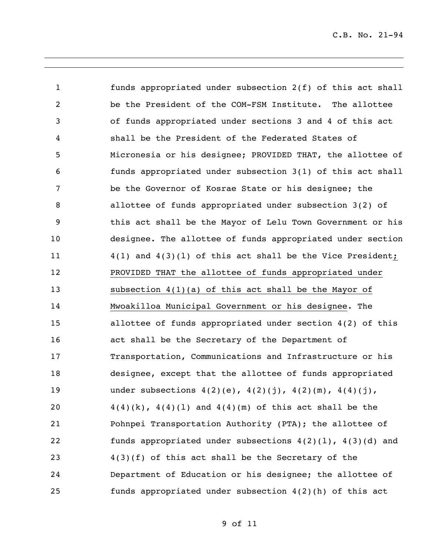funds appropriated under subsection 2(f) of this act shall be the President of the COM-FSM Institute. The allottee of funds appropriated under sections 3 and 4 of this act shall be the President of the Federated States of Micronesia or his designee; PROVIDED THAT, the allottee of funds appropriated under subsection 3(1) of this act shall be the Governor of Kosrae State or his designee; the allottee of funds appropriated under subsection 3(2) of this act shall be the Mayor of Lelu Town Government or his designee. The allottee of funds appropriated under section 4(1) and 4(3)(l) of this act shall be the Vice President; PROVIDED THAT the allottee of funds appropriated under subsection 4(1)(a) of this act shall be the Mayor of Mwoakilloa Municipal Government or his designee. The allottee of funds appropriated under section 4(2) of this act shall be the Secretary of the Department of Transportation, Communications and Infrastructure or his designee, except that the allottee of funds appropriated 19 under subsections  $4(2)(e)$ ,  $4(2)(j)$ ,  $4(2)(m)$ ,  $4(4)(j)$ ,  $4(4)(k)$ ,  $4(4)(1)$  and  $4(4)(m)$  of this act shall be the Pohnpei Transportation Authority (PTA); the allottee of funds appropriated under subsections 4(2)(l), 4(3)(d) and 4(3)(f) of this act shall be the Secretary of the Department of Education or his designee; the allottee of funds appropriated under subsection 4(2)(h) of this act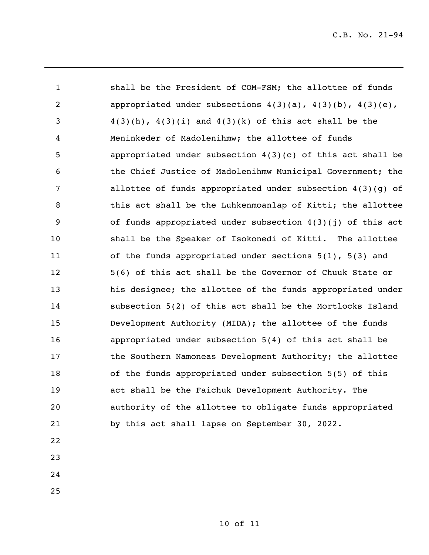1 shall be the President of COM-FSM; the allottee of funds appropriated under subsections 4(3)(a), 4(3)(b), 4(3)(e), 3 4(3)(h),  $4(3)(i)$  and  $4(3)(k)$  of this act shall be the Meninkeder of Madolenihmw; the allottee of funds appropriated under subsection 4(3)(c) of this act shall be the Chief Justice of Madolenihmw Municipal Government; the allottee of funds appropriated under subsection 4(3)(g) of 8 this act shall be the Luhkenmoanlap of Kitti; the allottee of funds appropriated under subsection 4(3)(j) of this act shall be the Speaker of Isokonedi of Kitti. The allottee of the funds appropriated under sections 5(1), 5(3) and 5(6) of this act shall be the Governor of Chuuk State or his designee; the allottee of the funds appropriated under subsection 5(2) of this act shall be the Mortlocks Island Development Authority (MIDA); the allottee of the funds appropriated under subsection 5(4) of this act shall be the Southern Namoneas Development Authority; the allottee of the funds appropriated under subsection 5(5) of this act shall be the Faichuk Development Authority. The authority of the allottee to obligate funds appropriated by this act shall lapse on September 30, 2022.